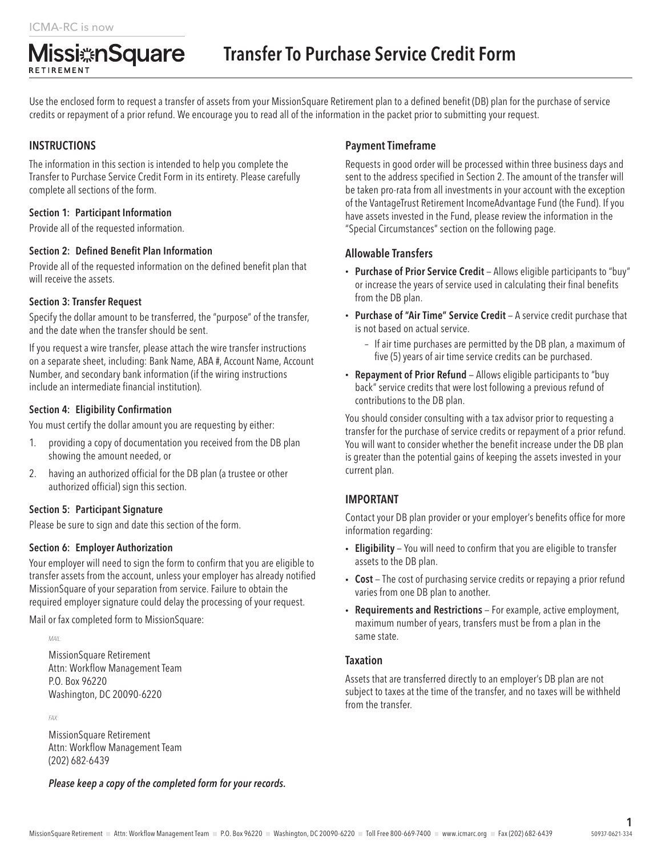Use the enclosed form to request a transfer of assets from your MissionSquare Retirement plan to a defined benefit (DB) plan for the purchase of service credits or repayment of a prior refund. We encourage you to read all of the information in the packet prior to submitting your request.

# **INSTRUCTIONS**

RETIREMENT

The information in this section is intended to help you complete the Transfer to Purchase Service Credit Form in its entirety. Please carefully complete all sections of the form.

#### Section 1: Participant Information

Provide all of the requested information.

**Missi**#nSquare

#### Section 2: Defined Benefit Plan Information

Provide all of the requested information on the defined benefit plan that will receive the assets.

#### Section 3: Transfer Request

Specify the dollar amount to be transferred, the "purpose" of the transfer, and the date when the transfer should be sent.

If you request a wire transfer, please attach the wire transfer instructions on a separate sheet, including: Bank Name, ABA #, Account Name, Account Number, and secondary bank information (if the wiring instructions include an intermediate financial institution).

### Section 4: Eligibility Confirmation

You must certify the dollar amount you are requesting by either:

- 1. providing a copy of documentation you received from the DB plan showing the amount needed, or
- 2. having an authorized official for the DB plan (a trustee or other authorized official) sign this section.

#### Section 5: Participant Signature

Please be sure to sign and date this section of the form.

#### Section 6: Employer Authorization

Your employer will need to sign the form to confirm that you are eligible to transfer assets from the account, unless your employer has already notified MissionSquare of your separation from service. Failure to obtain the required employer signature could delay the processing of your request.

Mail or fax completed form to MissionSquare:

*MAIL:*

MissionSquare Retirement Attn: Workflow Management Team P.O. Box 96220 Washington, DC 20090-6220

*FAX:*

MissionSquare Retirement Attn: Workflow Management Team (202) 682-6439

*Please keep a copy of the completed form for your records.*

## Payment Timeframe

Requests in good order will be processed within three business days and sent to the address specified in Section 2. The amount of the transfer will be taken pro-rata from all investments in your account with the exception of the VantageTrust Retirement IncomeAdvantage Fund (the Fund). If you have assets invested in the Fund, please review the information in the "Special Circumstances" section on the following page.

#### Allowable Transfers

- Purchase of Prior Service Credit Allows eligible participants to "buy" or increase the years of service used in calculating their final benefits from the DB plan.
- Purchase of "Air Time" Service Credit A service credit purchase that is not based on actual service.
	- If air time purchases are permitted by the DB plan, a maximum of five (5) years of air time service credits can be purchased.
- Repayment of Prior Refund Allows eligible participants to "buy back" service credits that were lost following a previous refund of contributions to the DB plan.

You should consider consulting with a tax advisor prior to requesting a transfer for the purchase of service credits or repayment of a prior refund. You will want to consider whether the benefit increase under the DB plan is greater than the potential gains of keeping the assets invested in your current plan.

# IMPORTANT

Contact your DB plan provider or your employer's benefits office for more information regarding:

- Eligibility You will need to confirm that you are eligible to transfer assets to the DB plan.
- Cost The cost of purchasing service credits or repaying a prior refund varies from one DB plan to another.
- Requirements and Restrictions For example, active employment, maximum number of years, transfers must be from a plan in the same state.

#### **Taxation**

Assets that are transferred directly to an employer's DB plan are not subject to taxes at the time of the transfer, and no taxes will be withheld from the transfer.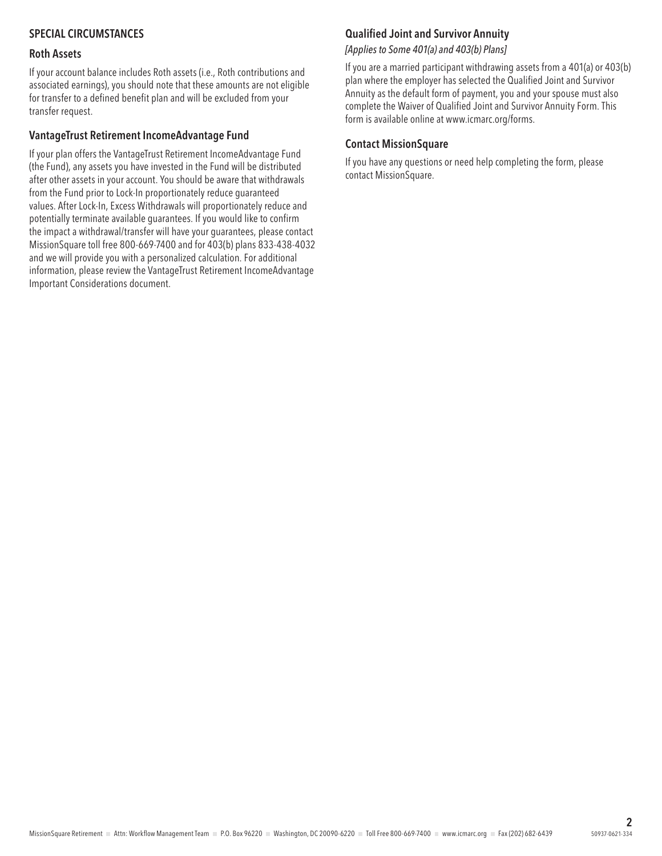# SPECIAL CIRCUMSTANCES

#### Roth Assets

If your account balance includes Roth assets (i.e., Roth contributions and associated earnings), you should note that these amounts are not eligible for transfer to a defined benefit plan and will be excluded from your transfer request.

## VantageTrust Retirement IncomeAdvantage Fund

If your plan offers the VantageTrust Retirement IncomeAdvantage Fund (the Fund), any assets you have invested in the Fund will be distributed after other assets in your account. You should be aware that withdrawals from the Fund prior to Lock-In proportionately reduce guaranteed values. After Lock-In, Excess Withdrawals will proportionately reduce and potentially terminate available guarantees. If you would like to confirm the impact a withdrawal/transfer will have your guarantees, please contact MissionSquare toll free 800-669-7400 and for 403(b) plans 833-438-4032 and we will provide you with a personalized calculation. For additional information, please review the VantageTrust Retirement IncomeAdvantage Important Considerations document.

# Qualified Joint and Survivor Annuity

*[Applies to Some 401(a) and 403(b) Plans]*

If you are a married participant withdrawing assets from a 401(a) or 403(b) plan where the employer has selected the Qualified Joint and Survivor Annuity as the default form of payment, you and your spouse must also complete the Waiver of Qualified Joint and Survivor Annuity Form. This form is available online at www.icmarc.org/forms.

## Contact MissionSquare

If you have any questions or need help completing the form, please contact MissionSquare.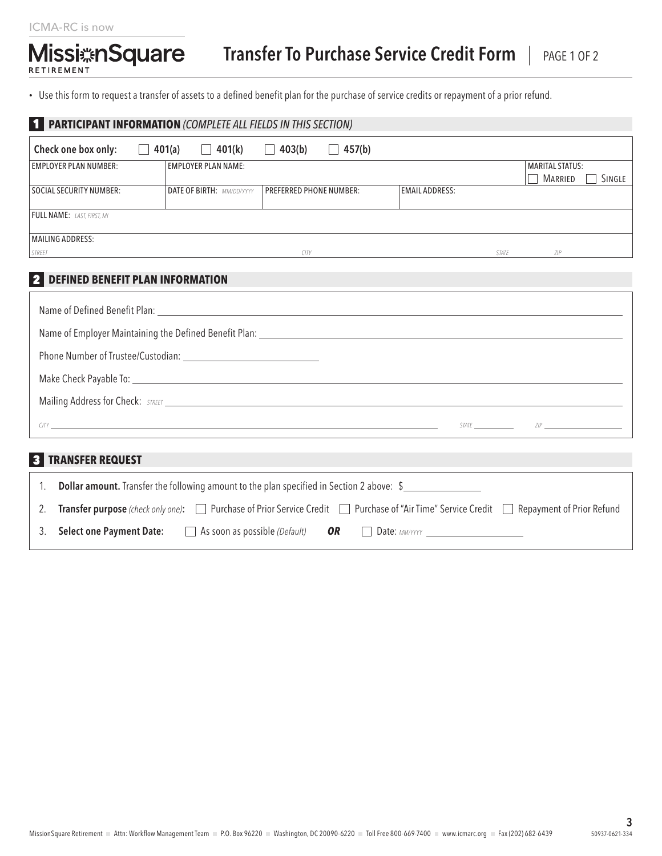## ICMA-RC is now

# Missi ASquare

• Use this form to request a transfer of assets to a defined benefit plan for the purchase of service credits or repayment of a prior refund.

| <b>PARTICIPANT INFORMATION (COMPLETE ALL FIELDS IN THIS SECTION)</b>                                                                                   |  |                                  |                                |                        |                         |                                                   |        |  |
|--------------------------------------------------------------------------------------------------------------------------------------------------------|--|----------------------------------|--------------------------------|------------------------|-------------------------|---------------------------------------------------|--------|--|
| Check one box only:                                                                                                                                    |  | $\Box$ 401(a) $\Box$ 401(k)      | 403(b)<br>$\mathbf{I}$         | 457(b)<br>$\mathbf{L}$ |                         |                                                   |        |  |
| <b>EMPLOYER PLAN NUMBER:</b>                                                                                                                           |  | <b>EMPLOYER PLAN NAME:</b>       |                                |                        |                         | <b>MARITAL STATUS:</b><br>MARRIED                 | SINGLE |  |
| <b>SOCIAL SECURITY NUMBER:</b>                                                                                                                         |  | <b>DATE OF BIRTH: MM/DD/YYYY</b> | <b>PREFERRED PHONE NUMBER:</b> |                        | <b>EMAIL ADDRESS:</b>   |                                                   |        |  |
| <b>FULL NAME:</b> LAST. FIRST. MI                                                                                                                      |  |                                  |                                |                        |                         |                                                   |        |  |
| <b>MAILING ADDRESS:</b><br>STREET                                                                                                                      |  |                                  |                                |                        | <b>CITY</b> STATE STATE | ZIP                                               |        |  |
|                                                                                                                                                        |  |                                  |                                |                        |                         |                                                   |        |  |
| 2 DEFINED BENEFIT PLAN INFORMATION                                                                                                                     |  |                                  |                                |                        |                         |                                                   |        |  |
|                                                                                                                                                        |  |                                  |                                |                        |                         |                                                   |        |  |
|                                                                                                                                                        |  |                                  |                                |                        |                         |                                                   |        |  |
|                                                                                                                                                        |  |                                  |                                |                        |                         |                                                   |        |  |
|                                                                                                                                                        |  |                                  |                                |                        |                         |                                                   |        |  |
|                                                                                                                                                        |  |                                  |                                |                        |                         | Mailing Address for Check: STREET                 |        |  |
|                                                                                                                                                        |  |                                  |                                |                        |                         | $CITY$ $SITE$ $ZIP$ $ZIP$ $ZIP$ $ZIP$ $ZIP$ $ZIP$ |        |  |
| <b>3 TRANSFER REQUEST</b>                                                                                                                              |  |                                  |                                |                        |                         |                                                   |        |  |
| <b>Dollar amount.</b> Transfer the following amount to the plan specified in Section 2 above: \$<br>1.                                                 |  |                                  |                                |                        |                         |                                                   |        |  |
| <b>Transfer purpose</b> (check only one): □ Purchase of Prior Service Credit □ Purchase of "Air Time" Service Credit □ Repayment of Prior Refund<br>2. |  |                                  |                                |                        |                         |                                                   |        |  |
| <b>Select one Payment Date:</b><br>$\Box$ As soon as possible (Default)<br><b>OR</b><br>3.                                                             |  |                                  |                                |                        |                         |                                                   |        |  |